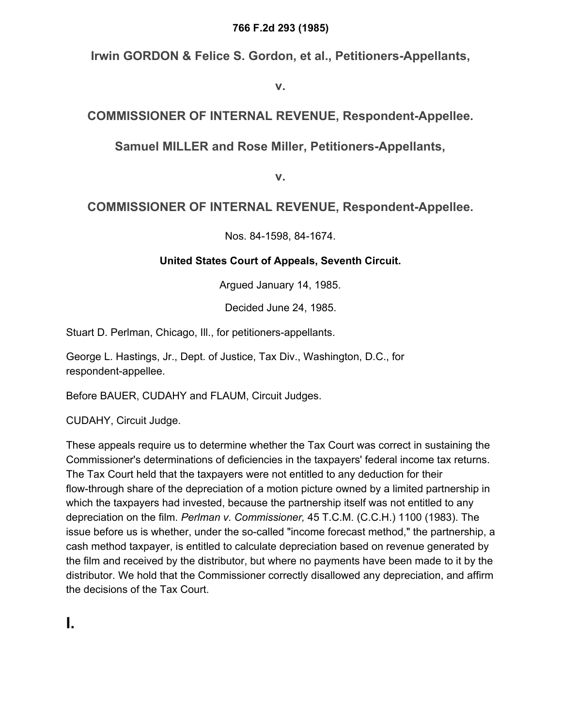#### **766 F.2d 293 (1985)**

**Irwin GORDON & Felice S. Gordon, et al., Petitioners-Appellants,**

**v.**

## **COMMISSIONER OF INTERNAL REVENUE, Respondent-Appellee.**

### **Samuel MILLER and Rose Miller, Petitioners-Appellants,**

**v.**

## **COMMISSIONER OF INTERNAL REVENUE, Respondent-Appellee.**

Nos. 84-1598, 84-1674.

#### **United States Court of Appeals, Seventh Circuit.**

Argued January 14, 1985.

Decided June 24, 1985.

Stuart D. Perlman, Chicago, Ill., for petitioners-appellants.

George L. Hastings, Jr., Dept. of Justice, Tax Div., Washington, D.C., for respondent-appellee.

Before BAUER, CUDAHY and FLAUM, Circuit Judges.

CUDAHY, Circuit Judge.

These appeals require us to determine whether the Tax Court was correct in sustaining the Commissioner's determinations of deficiencies in the taxpayers' federal income tax returns. The Tax Court held that the taxpayers were not entitled to any deduction for their flow-through share of the depreciation of a motion picture owned by a limited partnership in which the taxpayers had invested, because the partnership itself was not entitled to any depreciation on the film. *Perlman v. Commissioner,* 45 T.C.M. (C.C.H.) 1100 (1983). The issue before us is whether, under the so-called "income forecast method," the partnership, a cash method taxpayer, is entitled to calculate depreciation based on revenue generated by the film and received by the distributor, but where no payments have been made to it by the distributor. We hold that the Commissioner correctly disallowed any depreciation, and affirm the decisions of the Tax Court.

**I.**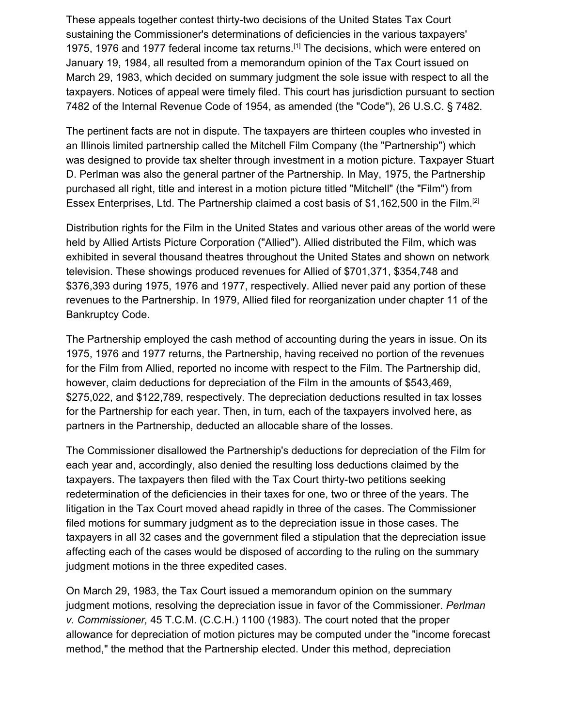These appeals together contest thirty-two decisions of the United States Tax Court sustaining the Commissioner's determinations of deficiencies in the various taxpayers' 1975, 1976 and 1977 federal income tax returns.<sup>[1]</sup> The decisions, which were entered on January 19, 1984, all resulted from a memorandum opinion of the Tax Court issued on March 29, 1983, which decided on summary judgment the sole issue with respect to all the taxpayers. Notices of appeal were timely filed. This court has jurisdiction pursuant to section 7482 of the Internal Revenue Code of 1954, as amended (the "Code"), 26 U.S.C. § 7482.

The pertinent facts are not in dispute. The taxpayers are thirteen couples who invested in an Illinois limited partnership called the Mitchell Film Company (the "Partnership") which was designed to provide tax shelter through investment in a motion picture. Taxpayer Stuart D. Perlman was also the general partner of the Partnership. In May, 1975, the Partnership purchased all right, title and interest in a motion picture titled "Mitchell" (the "Film") from Essex Enterprises, Ltd. The Partnership claimed a cost basis of \$1,162,500 in the Film.<sup>[2]</sup>

Distribution rights for the Film in the United States and various other areas of the world were held by Allied Artists Picture Corporation ("Allied"). Allied distributed the Film, which was exhibited in several thousand theatres throughout the United States and shown on network television. These showings produced revenues for Allied of \$701,371, \$354,748 and \$376,393 during 1975, 1976 and 1977, respectively. Allied never paid any portion of these revenues to the Partnership. In 1979, Allied filed for reorganization under chapter 11 of the Bankruptcy Code.

The Partnership employed the cash method of accounting during the years in issue. On its 1975, 1976 and 1977 returns, the Partnership, having received no portion of the revenues for the Film from Allied, reported no income with respect to the Film. The Partnership did, however, claim deductions for depreciation of the Film in the amounts of \$543,469, \$275,022, and \$122,789, respectively. The depreciation deductions resulted in tax losses for the Partnership for each year. Then, in turn, each of the taxpayers involved here, as partners in the Partnership, deducted an allocable share of the losses.

The Commissioner disallowed the Partnership's deductions for depreciation of the Film for each year and, accordingly, also denied the resulting loss deductions claimed by the taxpayers. The taxpayers then filed with the Tax Court thirty-two petitions seeking redetermination of the deficiencies in their taxes for one, two or three of the years. The litigation in the Tax Court moved ahead rapidly in three of the cases. The Commissioner filed motions for summary judgment as to the depreciation issue in those cases. The taxpayers in all 32 cases and the government filed a stipulation that the depreciation issue affecting each of the cases would be disposed of according to the ruling on the summary judgment motions in the three expedited cases.

On March 29, 1983, the Tax Court issued a memorandum opinion on the summary judgment motions, resolving the depreciation issue in favor of the Commissioner. *Perlman v. Commissioner,* 45 T.C.M. (C.C.H.) 1100 (1983). The court noted that the proper allowance for depreciation of motion pictures may be computed under the "income forecast method," the method that the Partnership elected. Under this method, depreciation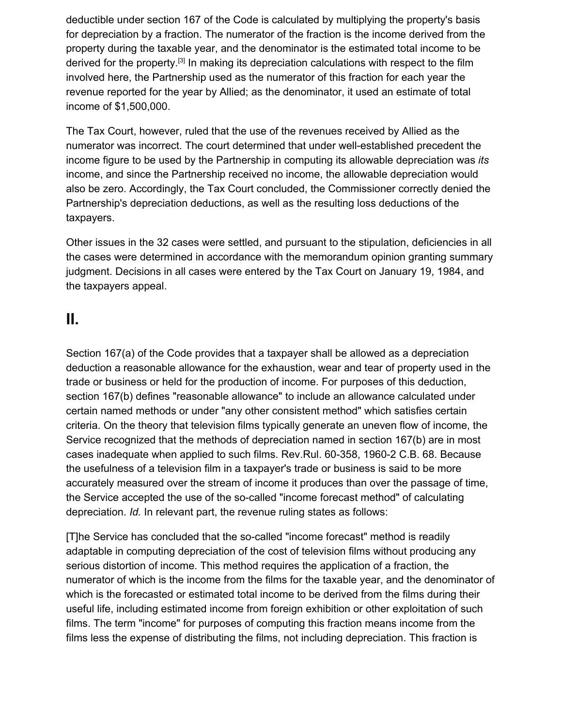deductible under section 167 of the Code is calculated by multiplying the property's basis for depreciation by a fraction. The numerator of the fraction is the income derived from the property during the taxable year, and the denominator is the estimated total income to be derived for the property.<sup>[3]</sup> In making its depreciation calculations with respect to the film involved here, the Partnership used as the numerator of this fraction for each year the revenue reported for the year by Allied; as the denominator, it used an estimate of total income of \$1,500,000.

The Tax Court, however, ruled that the use of the revenues received by Allied as the numerator was incorrect. The court determined that under well-established precedent the income figure to be used by the Partnership in computing its allowable depreciation was *its* income, and since the Partnership received no income, the allowable depreciation would also be zero. Accordingly, the Tax Court concluded, the Commissioner correctly denied the Partnership's depreciation deductions, as well as the resulting loss deductions of the taxpayers.

Other issues in the 32 cases were settled, and pursuant to the stipulation, deficiencies in all the cases were determined in accordance with the memorandum opinion granting summary judgment. Decisions in all cases were entered by the Tax Court on January 19, 1984, and the taxpayers appeal.

# **II.**

Section 167(a) of the Code provides that a taxpayer shall be allowed as a depreciation deduction a reasonable allowance for the exhaustion, wear and tear of property used in the trade or business or held for the production of income. For purposes of this deduction, section 167(b) defines "reasonable allowance" to include an allowance calculated under certain named methods or under "any other consistent method" which satisfies certain criteria. On the theory that television films typically generate an uneven flow of income, the Service recognized that the methods of depreciation named in section 167(b) are in most cases inadequate when applied to such films. Rev.Rul. 60-358, 1960-2 C.B. 68. Because the usefulness of a television film in a taxpayer's trade or business is said to be more accurately measured over the stream of income it produces than over the passage of time, the Service accepted the use of the so-called "income forecast method" of calculating depreciation. *Id.* In relevant part, the revenue ruling states as follows:

[T]he Service has concluded that the so-called "income forecast" method is readily adaptable in computing depreciation of the cost of television films without producing any serious distortion of income. This method requires the application of a fraction, the numerator of which is the income from the films for the taxable year, and the denominator of which is the forecasted or estimated total income to be derived from the films during their useful life, including estimated income from foreign exhibition or other exploitation of such films. The term "income" for purposes of computing this fraction means income from the films less the expense of distributing the films, not including depreciation. This fraction is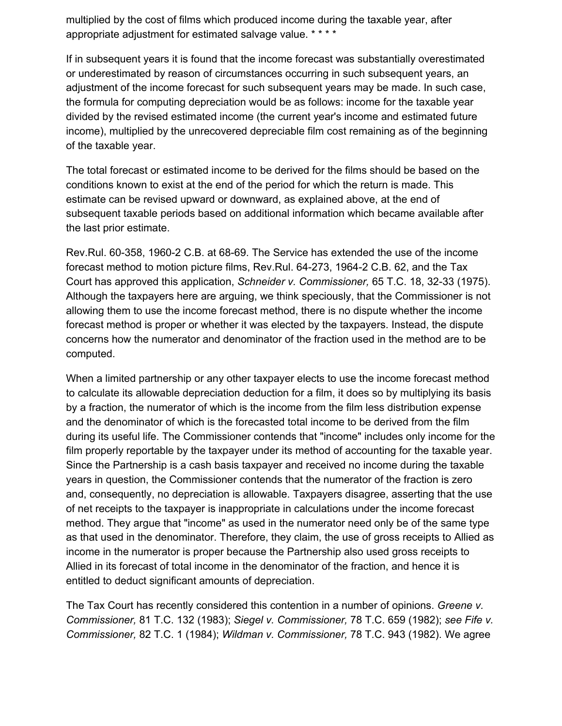multiplied by the cost of films which produced income during the taxable year, after appropriate adjustment for estimated salvage value. \* \* \* \*

If in subsequent years it is found that the income forecast was substantially overestimated or underestimated by reason of circumstances occurring in such subsequent years, an adjustment of the income forecast for such subsequent years may be made. In such case, the formula for computing depreciation would be as follows: income for the taxable year divided by the revised estimated income (the current year's income and estimated future income), multiplied by the unrecovered depreciable film cost remaining as of the beginning of the taxable year.

The total forecast or estimated income to be derived for the films should be based on the conditions known to exist at the end of the period for which the return is made. This estimate can be revised upward or downward, as explained above, at the end of subsequent taxable periods based on additional information which became available after the last prior estimate.

Rev.Rul. 60-358, 1960-2 C.B. at 68-69. The Service has extended the use of the income forecast method to motion picture films, Rev.Rul. 64-273, 1964-2 C.B. 62, and the Tax Court has approved this application, *Schneider v. Commissioner,* 65 T.C. 18, 32-33 (1975). Although the taxpayers here are arguing, we think speciously, that the Commissioner is not allowing them to use the income forecast method, there is no dispute whether the income forecast method is proper or whether it was elected by the taxpayers. Instead, the dispute concerns how the numerator and denominator of the fraction used in the method are to be computed.

When a limited partnership or any other taxpayer elects to use the income forecast method to calculate its allowable depreciation deduction for a film, it does so by multiplying its basis by a fraction, the numerator of which is the income from the film less distribution expense and the denominator of which is the forecasted total income to be derived from the film during its useful life. The Commissioner contends that "income" includes only income for the film properly reportable by the taxpayer under its method of accounting for the taxable year. Since the Partnership is a cash basis taxpayer and received no income during the taxable years in question, the Commissioner contends that the numerator of the fraction is zero and, consequently, no depreciation is allowable. Taxpayers disagree, asserting that the use of net receipts to the taxpayer is inappropriate in calculations under the income forecast method. They argue that "income" as used in the numerator need only be of the same type as that used in the denominator. Therefore, they claim, the use of gross receipts to Allied as income in the numerator is proper because the Partnership also used gross receipts to Allied in its forecast of total income in the denominator of the fraction, and hence it is entitled to deduct significant amounts of depreciation.

The Tax Court has recently considered this contention in a number of opinions. *Greene v. Commissioner,* 81 T.C. 132 (1983); *Siegel v. Commissioner,* 78 T.C. 659 (1982); *see Fife v. Commissioner,* 82 T.C. 1 (1984); *Wildman v. Commissioner,* 78 T.C. 943 (1982). We agree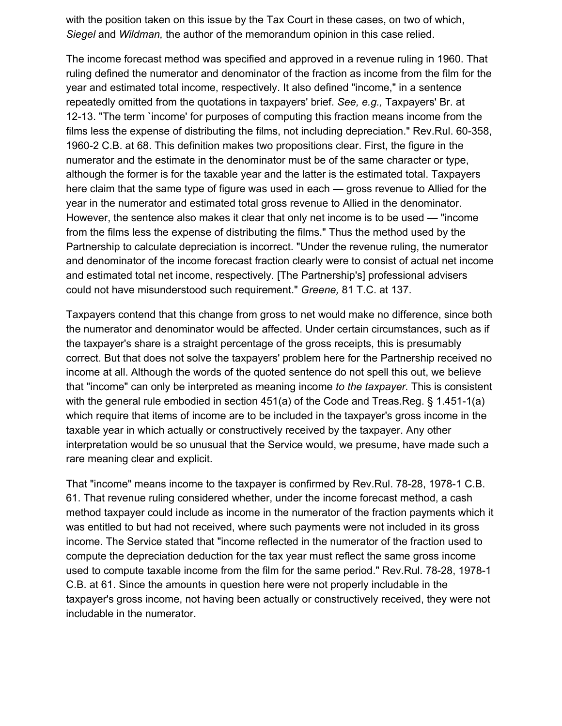with the position taken on this issue by the Tax Court in these cases, on two of which, *Siegel* and *Wildman,* the author of the memorandum opinion in this case relied.

The income forecast method was specified and approved in a revenue ruling in 1960. That ruling defined the numerator and denominator of the fraction as income from the film for the year and estimated total income, respectively. It also defined "income," in a sentence repeatedly omitted from the quotations in taxpayers' brief. *See, e.g.,* Taxpayers' Br. at 12-13. "The term `income' for purposes of computing this fraction means income from the films less the expense of distributing the films, not including depreciation." Rev.Rul. 60-358, 1960-2 C.B. at 68. This definition makes two propositions clear. First, the figure in the numerator and the estimate in the denominator must be of the same character or type, although the former is for the taxable year and the latter is the estimated total. Taxpayers here claim that the same type of figure was used in each — gross revenue to Allied for the year in the numerator and estimated total gross revenue to Allied in the denominator. However, the sentence also makes it clear that only net income is to be used — "income from the films less the expense of distributing the films." Thus the method used by the Partnership to calculate depreciation is incorrect. "Under the revenue ruling, the numerator and denominator of the income forecast fraction clearly were to consist of actual net income and estimated total net income, respectively. [The Partnership's] professional advisers could not have misunderstood such requirement." *Greene,* 81 T.C. at 137.

Taxpayers contend that this change from gross to net would make no difference, since both the numerator and denominator would be affected. Under certain circumstances, such as if the taxpayer's share is a straight percentage of the gross receipts, this is presumably correct. But that does not solve the taxpayers' problem here for the Partnership received no income at all. Although the words of the quoted sentence do not spell this out, we believe that "income" can only be interpreted as meaning income *to the taxpayer.* This is consistent with the general rule embodied in section 451(a) of the Code and Treas.Reg. § 1.451-1(a) which require that items of income are to be included in the taxpayer's gross income in the taxable year in which actually or constructively received by the taxpayer. Any other interpretation would be so unusual that the Service would, we presume, have made such a rare meaning clear and explicit.

That "income" means income to the taxpayer is confirmed by Rev.Rul. 78-28, 1978-1 C.B. 61. That revenue ruling considered whether, under the income forecast method, a cash method taxpayer could include as income in the numerator of the fraction payments which it was entitled to but had not received, where such payments were not included in its gross income. The Service stated that "income reflected in the numerator of the fraction used to compute the depreciation deduction for the tax year must reflect the same gross income used to compute taxable income from the film for the same period." Rev.Rul. 78-28, 1978-1 C.B. at 61. Since the amounts in question here were not properly includable in the taxpayer's gross income, not having been actually or constructively received, they were not includable in the numerator.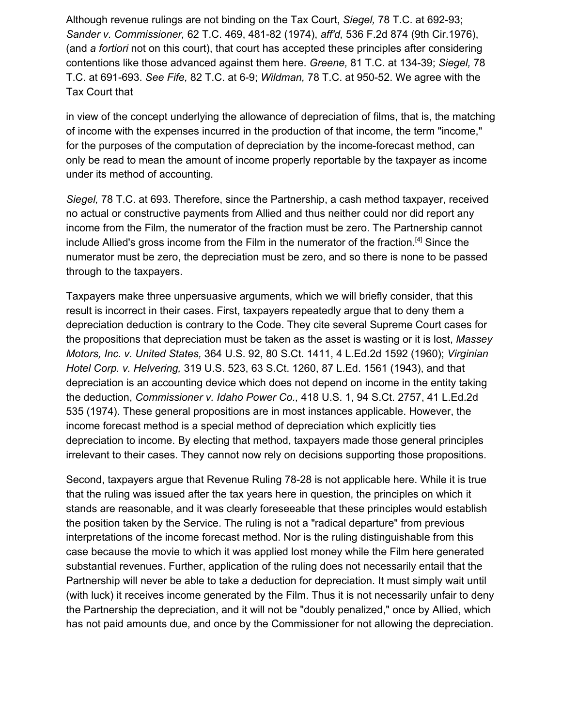Although revenue rulings are not binding on the Tax Court, *Siegel,* 78 T.C. at 692-93; *Sander v. Commissioner,* 62 T.C. 469, 481-82 (1974), *aff'd,* 536 F.2d 874 (9th Cir.1976), (and *a fortiori* not on this court), that court has accepted these principles after considering contentions like those advanced against them here. *Greene,* 81 T.C. at 134-39; *Siegel,* 78 T.C. at 691-693. *See Fife,* 82 T.C. at 6-9; *Wildman,* 78 T.C. at 950-52. We agree with the Tax Court that

in view of the concept underlying the allowance of depreciation of films, that is, the matching of income with the expenses incurred in the production of that income, the term "income," for the purposes of the computation of depreciation by the income-forecast method, can only be read to mean the amount of income properly reportable by the taxpayer as income under its method of accounting.

*Siegel,* 78 T.C. at 693. Therefore, since the Partnership, a cash method taxpayer, received no actual or constructive payments from Allied and thus neither could nor did report any income from the Film, the numerator of the fraction must be zero. The Partnership cannot include Allied's gross income from the Film in the numerator of the fraction.<sup>[4]</sup> Since the numerator must be zero, the depreciation must be zero, and so there is none to be passed through to the taxpayers.

Taxpayers make three unpersuasive arguments, which we will briefly consider, that this result is incorrect in their cases. First, taxpayers repeatedly argue that to deny them a depreciation deduction is contrary to the Code. They cite several Supreme Court cases for the propositions that depreciation must be taken as the asset is wasting or it is lost, *Massey Motors, Inc. v. United States,* 364 U.S. 92, 80 S.Ct. 1411, 4 L.Ed.2d 1592 (1960); *Virginian Hotel Corp. v. Helvering,* 319 U.S. 523, 63 S.Ct. 1260, 87 L.Ed. 1561 (1943), and that depreciation is an accounting device which does not depend on income in the entity taking the deduction, *Commissioner v. Idaho Power Co.,* 418 U.S. 1, 94 S.Ct. 2757, 41 L.Ed.2d 535 (1974). These general propositions are in most instances applicable. However, the income forecast method is a special method of depreciation which explicitly ties depreciation to income. By electing that method, taxpayers made those general principles irrelevant to their cases. They cannot now rely on decisions supporting those propositions.

Second, taxpayers argue that Revenue Ruling 78-28 is not applicable here. While it is true that the ruling was issued after the tax years here in question, the principles on which it stands are reasonable, and it was clearly foreseeable that these principles would establish the position taken by the Service. The ruling is not a "radical departure" from previous interpretations of the income forecast method. Nor is the ruling distinguishable from this case because the movie to which it was applied lost money while the Film here generated substantial revenues. Further, application of the ruling does not necessarily entail that the Partnership will never be able to take a deduction for depreciation. It must simply wait until (with luck) it receives income generated by the Film. Thus it is not necessarily unfair to deny the Partnership the depreciation, and it will not be "doubly penalized," once by Allied, which has not paid amounts due, and once by the Commissioner for not allowing the depreciation.